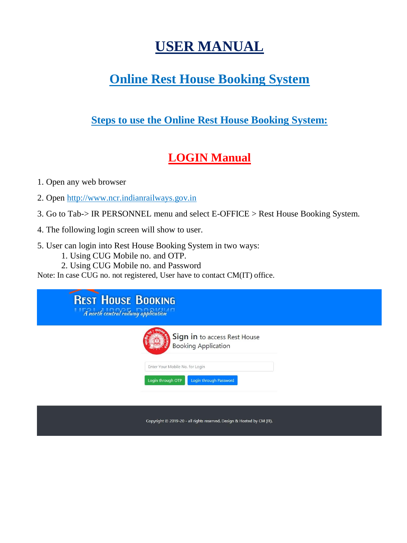# **USER MANUAL**

## **Online Rest House Booking System**

#### **Steps to use the Online Rest House Booking System:**

### **LOGIN Manual**

1. Open any web browser

2. Open http://www.ncr.indianrailways.gov.in

- 3. Go to Tab-> IR PERSONNEL menu and select E-OFFICE > Rest House Booking System.
- 4. The following login screen will show to user.
- 5. User can login into Rest House Booking System in two ways:
	- 1. Using CUG Mobile no. and OTP.
	- 2. Using CUG Mobile no. and Password

Note: In case CUG no. not registered, User have to contact CM(IT) office.

| <b>REST HOUSE BOOKING</b><br>A north central railway application |                                                            |  |
|------------------------------------------------------------------|------------------------------------------------------------|--|
|                                                                  | Sign in to access Rest House<br><b>Booking Application</b> |  |
|                                                                  | Enter Your Mobile No. for Login                            |  |
|                                                                  | Login through OTP<br>Login through Password                |  |

Copyright @ 2019-20 - all rights reserved. Design & Hosted by CM (IT).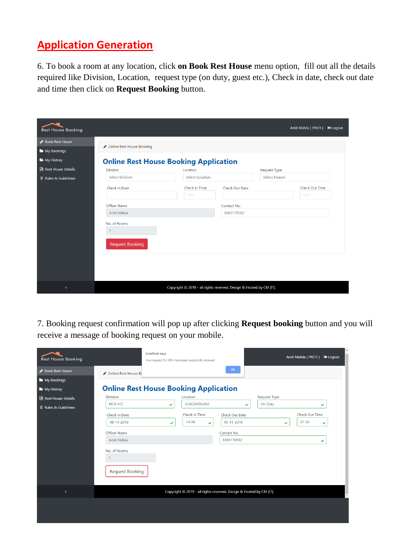#### **Application Generation**

6. To book a room at any location, click **on Book Rest House** menu option, fill out all the details required like Division, Location, request type (on duty, guest etc.), Check in date, check out date and time then click on **Request Booking** button.

| <b>Rest House Booking</b>   |                                                        |                                                                     |                |                     | Amit Malvia (PRO1) | De Logout |
|-----------------------------|--------------------------------------------------------|---------------------------------------------------------------------|----------------|---------------------|--------------------|-----------|
| Book Rest House             |                                                        |                                                                     |                |                     |                    |           |
| My Bookings                 | ◆ Online Rest House Booking                            |                                                                     |                |                     |                    |           |
| My History                  | <b>Online Rest House Booking Application</b>           |                                                                     |                |                     |                    |           |
| Rest House Details          | <b>Division</b>                                        | Location                                                            |                | <b>Request Type</b> |                    |           |
| <b>9</b> Rules & Guidelines | <b>Select Division</b>                                 | Select Location                                                     |                | Select Reason       |                    |           |
|                             | Check in Date                                          | Check in Time                                                       | Check Out Date |                     | Check Out Time     |           |
|                             |                                                        | $-12 - 1$                                                           |                |                     | 44244              |           |
|                             | Officer Name                                           |                                                                     | Contact No.    |                     |                    |           |
|                             | Amit Malvia                                            |                                                                     | 8303170562     |                     |                    |           |
|                             | No. of Rooms<br>$\mathbf{1}$<br><b>Request Booking</b> |                                                                     |                |                     |                    |           |
| $\overline{\phantom{a}}$    |                                                        | Copyright © 2019 - all rights reserved. Design & Hosted by CM (IT). |                |                     |                    |           |

7. Booking request confirmation will pop up after clicking **Request booking** button and you will receive a message of booking request on your mobile.

| <b>Rest House Booking</b>   |                                                        | localhost says | Your request for ORH have been sucessfully recieved. |                                                                     |                     | Amit Malvia (PRO1) <sup>■</sup> Logout |
|-----------------------------|--------------------------------------------------------|----------------|------------------------------------------------------|---------------------------------------------------------------------|---------------------|----------------------------------------|
| Book Rest House             | ◆ Online Rest House Bo                                 |                |                                                      | OK                                                                  |                     |                                        |
| My Bookings                 |                                                        |                |                                                      |                                                                     |                     |                                        |
| My History                  | <b>Online Rest House Booking Application</b>           |                |                                                      |                                                                     |                     |                                        |
| Rest House Details          | <b>Division</b>                                        |                | Location                                             |                                                                     | <b>Request Type</b> |                                        |
| <b>8</b> Rules & Guidelines | NCR-HQ                                                 | ✓              | SUBEDARGANJ                                          | $\checkmark$                                                        | On Duty             | ✓                                      |
|                             | Check in Date                                          |                | Check in Time                                        | Check Out Date                                                      |                     | Check Out Time                         |
|                             | 09-11-2019                                             | ✓              | 14:00<br>$\checkmark$                                | 10-11-2019                                                          | Š.                  | 07:30<br>$\checkmark$                  |
|                             | Officer Name                                           |                |                                                      | Contact No.                                                         |                     |                                        |
|                             | Amit Malvia                                            |                |                                                      | 8303170562                                                          |                     | ✓                                      |
|                             | No. of Rooms<br>$\mathbf{1}$<br><b>Request Booking</b> |                |                                                      |                                                                     |                     |                                        |
| $\overline{\phantom{a}}$    |                                                        |                |                                                      | Copyright © 2019 - all rights reserved. Design & Hosted by CM (IT). |                     |                                        |
|                             |                                                        |                |                                                      |                                                                     |                     |                                        |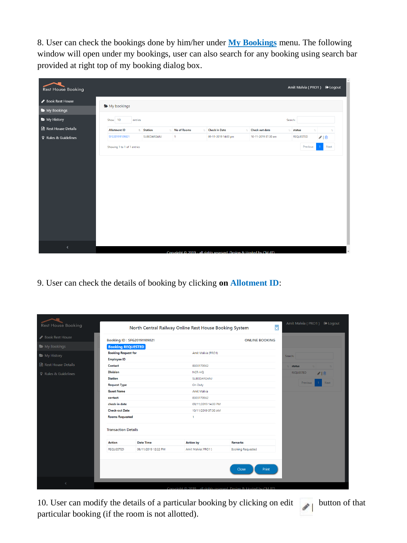8. User can check the bookings done by him/her under **My Bookings** menu. The following window will open under my bookings, user can also search for any booking using search bar provided at right top of my booking dialog box.

| <b>Rest House Booking</b>   |                             |             |                    |                                                                    |                          |         | Amit Malvia (PRO1) <sup>●</sup> Logout |      |
|-----------------------------|-----------------------------|-------------|--------------------|--------------------------------------------------------------------|--------------------------|---------|----------------------------------------|------|
| Book Rest House             | My bookings                 |             |                    |                                                                    |                          |         |                                        |      |
| My Bookings                 |                             |             |                    |                                                                    |                          |         |                                        |      |
| My History                  | Show 10<br>entries          |             |                    |                                                                    |                          | Search: |                                        |      |
| Rest House Details          | <b>Allotment ID</b>         | 1 Station   | <b>No of Rooms</b> | <b>11</b> Check in Date                                            | <b>11</b> Check out date |         | 11 status<br>71                        | 11   |
| <b>8</b> Rules & Guidelines | SFG20191109021              | SUBEDARGANJ | $\vert$ 1          | 09-11-2019 14:00 pm                                                | 10-11-2019 07:30 am      |         | <b>REQUESTED</b>                       | ◎□   |
|                             | Showing 1 to 1 of 1 entries |             |                    |                                                                    |                          |         | Previous                               | Next |
|                             |                             |             |                    |                                                                    |                          |         |                                        |      |
|                             |                             |             |                    |                                                                    |                          |         |                                        |      |
|                             |                             |             |                    |                                                                    |                          |         |                                        |      |
|                             |                             |             |                    |                                                                    |                          |         |                                        |      |
|                             |                             |             |                    |                                                                    |                          |         |                                        |      |
|                             |                             |             |                    |                                                                    |                          |         |                                        |      |
|                             |                             |             |                    |                                                                    |                          |         |                                        |      |
|                             |                             |             |                    |                                                                    |                          |         |                                        |      |
|                             |                             |             |                    |                                                                    |                          |         |                                        |      |
|                             |                             |             |                    |                                                                    |                          |         |                                        |      |
|                             |                             |             |                    |                                                                    |                          |         |                                        |      |
| $\blacktriangleleft$        |                             |             |                    |                                                                    |                          |         |                                        |      |
|                             |                             |             |                    | Convright @ 2019 - all rights reserved. Design & Hosted by CM (IT) |                          |         |                                        |      |

9. User can check the details of booking by clicking **on Allotment ID**:

| <b>Rest House Booking</b>   |                            |                            | North Central Railway Online Rest House Booking System | $\overline{\mathbf{x}}$  | Amit Malvia (PRO1) D Logout |
|-----------------------------|----------------------------|----------------------------|--------------------------------------------------------|--------------------------|-----------------------------|
| Book Rest House             |                            | Booking ID: SFG20191109021 |                                                        | <b>ONLINE BOOKING</b>    |                             |
| My Bookings                 | <b>Booking REQUESTED</b>   |                            |                                                        |                          |                             |
| My History                  | <b>Booking Request for</b> |                            | Amit Malvia (PRO1)                                     |                          | Search:                     |
|                             | <b>Employee ID</b>         |                            |                                                        |                          |                             |
| <b>A</b> Rest House Details | Contact                    |                            | 8303170562                                             |                          | status                      |
| <b>8</b> Rules & Guidelines | <b>Division</b>            |                            | NCR-HQ                                                 |                          | <b>REQUESTED</b><br>√ □     |
|                             | <b>Station</b>             |                            | SUBEDARGANJ                                            |                          | Previous<br><b>Next</b>     |
|                             | <b>Request Type</b>        |                            | On Duty                                                |                          |                             |
|                             | <b>Guest Name</b>          |                            | Amit Malvia                                            |                          |                             |
|                             | contact                    |                            | 8303170562                                             |                          |                             |
|                             | check-in date              |                            | 09/11/2019 14:00 PM                                    |                          |                             |
|                             | <b>Check-out Date</b>      |                            | 10/11/2019 07:30 AM                                    |                          |                             |
|                             | <b>Rooms Requested</b>     |                            | $\mathbf{1}$                                           |                          |                             |
|                             | <b>Transaction Details</b> |                            |                                                        |                          |                             |
|                             | <b>Action</b>              | <b>Date Time</b>           | <b>Action by</b>                                       | <b>Remarks</b>           |                             |
|                             | <b>REQUESTED</b>           | 08/11/2019 12:22 PM        | Amit Malvia( PRO1)                                     | <b>Booking Requested</b> |                             |

10. User can modify the details of a particular booking by clicking on edit button of that particular booking (if the room is not allotted).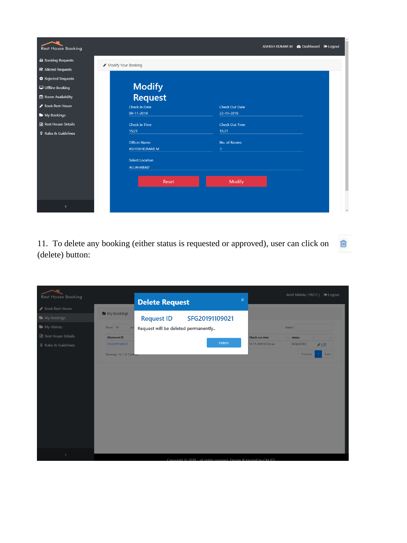| <b>Rest House Booking</b>      |                           | ASHISH KUMAR M <sup>6</sup> Dashboard D Logout |  |
|--------------------------------|---------------------------|------------------------------------------------|--|
| Booking Requests               |                           |                                                |  |
| ■ Alloted Requests             | Modify Your Booking       |                                                |  |
| <sup>O</sup> Rejected Requests |                           |                                                |  |
| Offline Booking                |                           |                                                |  |
| Room Availability              | <b>Modify<br/>Request</b> |                                                |  |
| Book Rest House                | Check in Date             | <b>Check Out Date</b>                          |  |
| My Bookings                    | 09-11-2019                | 22-11-2019                                     |  |
| Rest House Details             | Check in Time             | <b>Check Out Time</b>                          |  |
| <b>8</b> Rules & Guidelines    | 15:21                     | 15:21                                          |  |
|                                | <b>Officer Name</b>       | No. of Rooms                                   |  |
|                                | <b>ASHISH KUMAR M</b>     | $\mathbf{1}$                                   |  |
|                                | <b>Select Location</b>    |                                                |  |
|                                | <b>ALLAHABAD</b>          |                                                |  |
|                                |                           |                                                |  |
|                                | Reset                     | <b>Modify</b>                                  |  |
|                                |                           |                                                |  |
|                                |                           |                                                |  |
| $\left\langle \right\rangle$   |                           |                                                |  |

11. To delete any booking (either status is requested or approved), user can click on 圙 (delete) button:

|                             |                             |                                     |                                                                    |                |                       |         |                  | Amit Malvia (PRO1) <sup>●</sup> Logout |
|-----------------------------|-----------------------------|-------------------------------------|--------------------------------------------------------------------|----------------|-----------------------|---------|------------------|----------------------------------------|
| <b>Rest House Booking</b>   |                             | <b>Delete Request</b>               |                                                                    | $\pmb{\times}$ |                       |         |                  |                                        |
| Book Rest House             | My bookings                 |                                     |                                                                    |                |                       |         |                  |                                        |
| My Bookings                 |                             | <b>Request ID</b>                   | SFG20191109021                                                     |                |                       |         |                  |                                        |
| My History                  | Show 10<br>en               | Request will be deleted permanently |                                                                    |                |                       | Search: |                  |                                        |
| Rest House Details          | <b>Allotment ID</b>         |                                     |                                                                    |                | <b>Check out date</b> | 11      | status           |                                        |
| <b>8</b> Rules & Guidelines | SFG20191109021              |                                     | <b>Delete</b>                                                      |                | 10-11-2019 07:30 am   |         | <b>REQUESTED</b> | √ □                                    |
|                             | Showing 1 to 1 of 1 enthes- |                                     |                                                                    |                |                       |         | Previous         | Next<br>$\overline{1}$                 |
|                             |                             |                                     |                                                                    |                |                       |         |                  |                                        |
|                             |                             |                                     |                                                                    |                |                       |         |                  |                                        |
|                             |                             |                                     |                                                                    |                |                       |         |                  |                                        |
|                             |                             |                                     |                                                                    |                |                       |         |                  |                                        |
|                             |                             |                                     |                                                                    |                |                       |         |                  |                                        |
|                             |                             |                                     |                                                                    |                |                       |         |                  |                                        |
|                             |                             |                                     |                                                                    |                |                       |         |                  |                                        |
|                             |                             |                                     |                                                                    |                |                       |         |                  |                                        |
|                             |                             |                                     |                                                                    |                |                       |         |                  |                                        |
|                             |                             |                                     |                                                                    |                |                       |         |                  |                                        |
| Ć                           |                             |                                     |                                                                    |                |                       |         |                  |                                        |
|                             |                             |                                     | Convright © 2019 - all rights reserved. Design & Hosted by CM (IT) |                |                       |         |                  |                                        |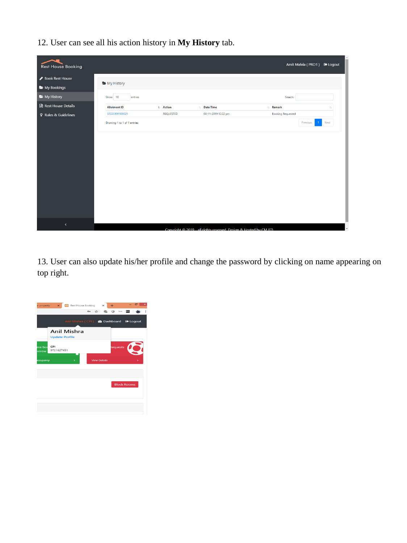12. User can see all his action history in **My History** tab.

| <b>Rest House Booking</b>   |                             |                  |                     |                                                                    |                          | Amit Malvia (PRO1) <sup>●</sup> Logout |      |
|-----------------------------|-----------------------------|------------------|---------------------|--------------------------------------------------------------------|--------------------------|----------------------------------------|------|
| Book Rest House             |                             |                  |                     |                                                                    |                          |                                        |      |
| My Bookings                 | My History                  |                  |                     |                                                                    |                          |                                        |      |
| My History                  | Show 10<br>entries          |                  |                     |                                                                    | Search:                  |                                        |      |
| Rest House Details          | <b>Allotment ID</b>         | 1 Action         | 11 Date Time        | $\uparrow \downarrow$                                              | Remark                   |                                        |      |
| <b>8</b> Rules & Guidelines | SFG20191109021              | <b>REQUESTED</b> | 08-11-2019 12:22 pm |                                                                    | <b>Booking Requested</b> |                                        |      |
|                             | Showing 1 to 1 of 1 entries |                  |                     |                                                                    |                          | Previous                               | Next |
|                             |                             |                  |                     |                                                                    |                          |                                        |      |
| $\blacktriangleleft$        |                             |                  |                     | Convright © 2019 - all rights reserved. Design & Hosted by CM (IT) |                          |                                        |      |

13. User can also update his/her profile and change the password by clicking on name appearing on top right.

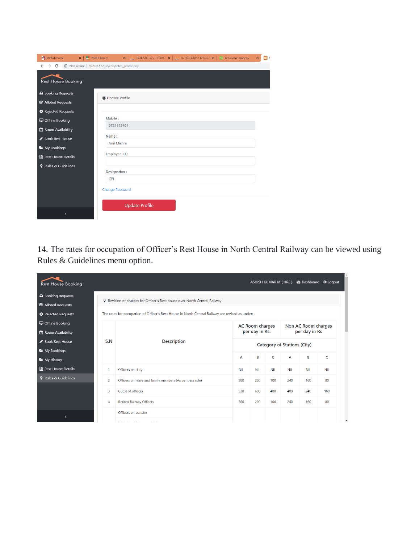| <b>E</b> IRPSM: Home            | $\times$ $\blacksquare$ NCR E-library<br>岡<br>$\pmb{\times}$ |
|---------------------------------|--------------------------------------------------------------|
| $\rightarrow$ C<br>$\leftarrow$ | 10.102.16.102/rhb/fetch profile.php                          |
| <b>Rest House Booking</b>       |                                                              |
| Booking Requests                |                                                              |
| ■ Alloted Requests              | <b>O</b> Update Profile                                      |
| <sup>O</sup> Rejected Requests  |                                                              |
| Offline Booking                 | Mobile:                                                      |
| Room Availability               | 9721627491                                                   |
| Book Rest House                 | Name:                                                        |
| My Bookings                     | Anil Mishra                                                  |
| Rest House Details              | Employee ID:                                                 |
| <b>§</b> Rules & Guidelines     |                                                              |
|                                 | Designation:                                                 |
|                                 | CPI                                                          |
|                                 | <b>Change Password</b>                                       |
|                                 |                                                              |
|                                 | <b>Update Profile</b>                                        |
| ∢                               |                                                              |

14. The rates for occupation of Officer's Rest House in North Central Railway can be viewed using Rules & Guidelines menu option.

| <b>Rest House Booking</b>      |              |                                                                                                  |                                          |            |                                      |            | ASHISH KUMAR M (HRS) <b><i>S</i></b> Dashboard ● Loqout |            |  |
|--------------------------------|--------------|--------------------------------------------------------------------------------------------------|------------------------------------------|------------|--------------------------------------|------------|---------------------------------------------------------|------------|--|
| △ Booking Requests             |              |                                                                                                  |                                          |            |                                      |            |                                                         |            |  |
| <b>■</b> Alloted Requests      |              | P Revision of charges for Officer's Rest house over North Central Railway                        |                                          |            |                                      |            |                                                         |            |  |
| <sup>O</sup> Rejected Requests |              | The rates for occupation of Officer's Rest House in North Central Railway are revised as under:- |                                          |            |                                      |            |                                                         |            |  |
| Offline Booking                |              |                                                                                                  | <b>AC Room charges</b><br>per day in Rs. |            | Non AC Room charges<br>per day in Rs |            |                                                         |            |  |
| Room Availability              |              |                                                                                                  |                                          |            |                                      |            |                                                         |            |  |
| Book Rest House                | S.N          | <b>Description</b>                                                                               | <b>Category of Stations (City)</b>       |            |                                      |            |                                                         |            |  |
| My Bookings                    |              |                                                                                                  |                                          |            |                                      |            |                                                         |            |  |
| My History                     |              |                                                                                                  | A                                        | B          | C                                    | A          | B                                                       | C          |  |
| Rest House Details             | $\mathbf{1}$ | Officers on duty                                                                                 | <b>NIL</b>                               | <b>NIL</b> | <b>NIL</b>                           | <b>NIL</b> | <b>NIL</b>                                              | <b>NIL</b> |  |
| <b>8</b> Rules & Guidelines    | 2            | Officers on leave and family members (As per pass rule)                                          | 300                                      | 200        | 100                                  | 240        | 160                                                     | 80         |  |
|                                | 3            | Guest of officers                                                                                | 930                                      | 600        | 480                                  | 400        | 240                                                     | 160        |  |
|                                | 4            | <b>Retired Railway Officers</b>                                                                  | 300                                      | 200        | 100                                  | 240        | 160                                                     | 80         |  |
|                                |              | Officers on transfer                                                                             |                                          |            |                                      |            |                                                         |            |  |
| $\overline{\phantom{a}}$       |              |                                                                                                  |                                          |            |                                      |            |                                                         |            |  |